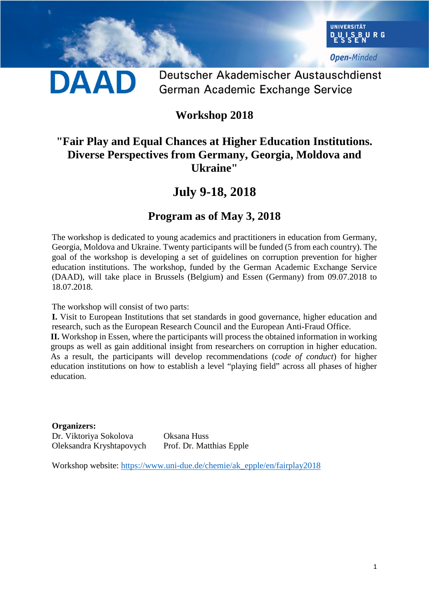

**Open-Minded** 

## DAAD

Deutscher Akademischer Austauschdienst German Academic Exchange Service

### **Workshop 2018**

#### **"Fair Play and Equal Chances at Higher Education Institutions. Diverse Perspectives from Germany, Georgia, Moldova and Ukraine"**

### **July 9-18, 2018**

#### **Program as of May 3, 2018**

The workshop is dedicated to young academics and practitioners in education from Germany, Georgia, Moldova and Ukraine. Twenty participants will be funded (5 from each country). The goal of the workshop is developing a set of guidelines on corruption prevention for higher education institutions. The workshop, funded by the German Academic Exchange Service (DAAD), will take place in Brussels (Belgium) and Essen (Germany) from 09.07.2018 to 18.07.2018.

The workshop will consist of two parts:

**I.** Visit to European Institutions that set standards in good governance, higher education and research, such as the European Research Council and the European Anti-Fraud Office.

**II.** Workshop in Essen, where the participants will process the obtained information in working groups as well as gain additional insight from researchers on corruption in higher education. As a result, the participants will develop recommendations (*code of conduct*) for higher education institutions on how to establish a level "playing field" across all phases of higher education.

**Organizers:** Dr. Viktoriya Sokolova Oksana Huss Oleksandra Kryshtapovych Prof. Dr. Matthias Epple

Workshop website: [https://www.uni-due.de/chemie/ak\\_epple/en/fairplay2018](https://www.uni-due.de/chemie/ak_epple/en/fairplay201)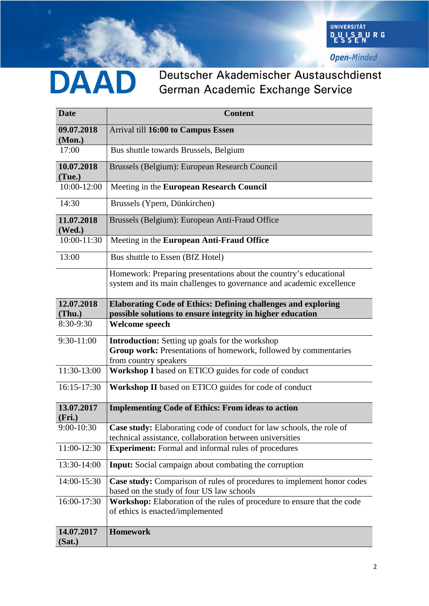

**Open-Minded** 

# DAAD

### Deutscher Akademischer Austauschdienst German Academic Exchange Service

| <b>Date</b>          | <b>Content</b>                                                                                                                                     |
|----------------------|----------------------------------------------------------------------------------------------------------------------------------------------------|
| 09.07.2018<br>(Mon.) | Arrival till 16:00 to Campus Essen                                                                                                                 |
| 17:00                | Bus shuttle towards Brussels, Belgium                                                                                                              |
| 10.07.2018<br>(Tue.) | Brussels (Belgium): European Research Council                                                                                                      |
| 10:00-12:00          | Meeting in the European Research Council                                                                                                           |
| 14:30                | Brussels (Ypern, Dünkirchen)                                                                                                                       |
| 11.07.2018<br>(Wed.) | Brussels (Belgium): European Anti-Fraud Office                                                                                                     |
| 10:00-11:30          | Meeting in the European Anti-Fraud Office                                                                                                          |
| 13:00                | Bus shuttle to Essen (BfZ Hotel)                                                                                                                   |
|                      | Homework: Preparing presentations about the country's educational<br>system and its main challenges to governance and academic excellence          |
| 12.07.2018           | <b>Elaborating Code of Ethics: Defining challenges and exploring</b>                                                                               |
| (Thu.)<br>8:30-9:30  | possible solutions to ensure integrity in higher education<br><b>Welcome speech</b>                                                                |
| 9:30-11:00           | <b>Introduction:</b> Setting up goals for the workshop<br>Group work: Presentations of homework, followed by commentaries<br>from country speakers |
| 11:30-13:00          | Workshop I based on ETICO guides for code of conduct                                                                                               |
| 16:15-17:30          | Workshop II based on ETICO guides for code of conduct                                                                                              |
| 13.07.2017<br>(Fri.) | <b>Implementing Code of Ethics: From ideas to action</b>                                                                                           |
| 9:00-10:30           | Case study: Elaborating code of conduct for law schools, the role of<br>technical assistance, collaboration between universities                   |
| 11:00-12:30          | <b>Experiment:</b> Formal and informal rules of procedures                                                                                         |
| 13:30-14:00          | Input: Social campaign about combating the corruption                                                                                              |
| 14:00-15:30          | Case study: Comparison of rules of procedures to implement honor codes<br>based on the study of four US law schools                                |
| 16:00-17:30          | Workshop: Elaboration of the rules of procedure to ensure that the code<br>of ethics is enacted/implemented                                        |
| 14.07.2017<br>(Sat.) | <b>Homework</b>                                                                                                                                    |